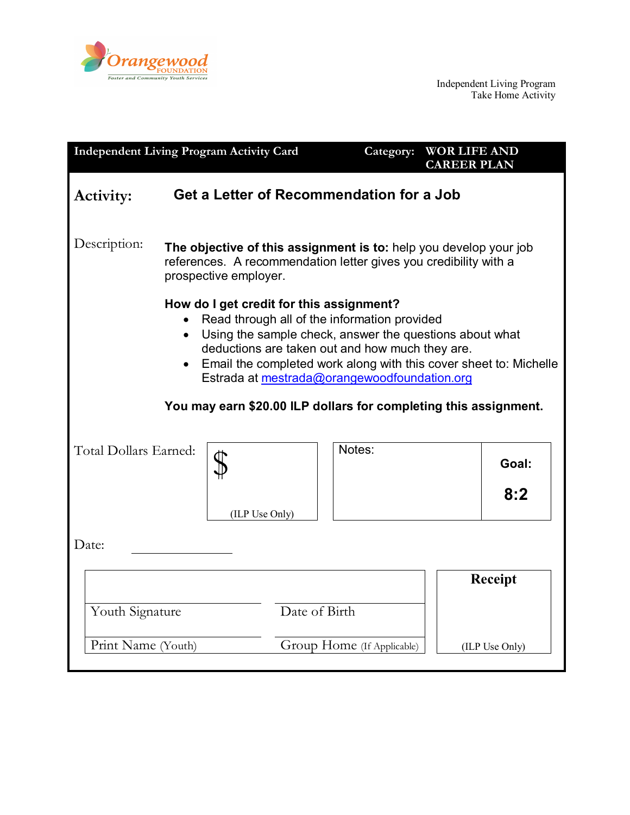

| <b>Independent Living Program Activity Card</b>                                                                                                                                                                                                                                                                                                                                                                           |                                                                                                                                                                |                |                            | <b>WOR LIFE AND</b><br>Category:<br><b>CAREER PLAN</b> |  |                |  |
|---------------------------------------------------------------------------------------------------------------------------------------------------------------------------------------------------------------------------------------------------------------------------------------------------------------------------------------------------------------------------------------------------------------------------|----------------------------------------------------------------------------------------------------------------------------------------------------------------|----------------|----------------------------|--------------------------------------------------------|--|----------------|--|
| <b>Activity:</b>                                                                                                                                                                                                                                                                                                                                                                                                          | <b>Get a Letter of Recommendation for a Job</b>                                                                                                                |                |                            |                                                        |  |                |  |
| Description:                                                                                                                                                                                                                                                                                                                                                                                                              | The objective of this assignment is to: help you develop your job<br>references. A recommendation letter gives you credibility with a<br>prospective employer. |                |                            |                                                        |  |                |  |
| How do I get credit for this assignment?<br>Read through all of the information provided<br>Using the sample check, answer the questions about what<br>$\bullet$<br>deductions are taken out and how much they are.<br>Email the completed work along with this cover sheet to: Michelle<br>$\bullet$<br>Estrada at mestrada@orangewoodfoundation.org<br>You may earn \$20.00 ILP dollars for completing this assignment. |                                                                                                                                                                |                |                            |                                                        |  |                |  |
|                                                                                                                                                                                                                                                                                                                                                                                                                           |                                                                                                                                                                |                |                            |                                                        |  |                |  |
| Total Dollars Earned:                                                                                                                                                                                                                                                                                                                                                                                                     |                                                                                                                                                                |                |                            | Notes:                                                 |  | Goal:          |  |
|                                                                                                                                                                                                                                                                                                                                                                                                                           |                                                                                                                                                                | (ILP Use Only) |                            |                                                        |  | 8:2            |  |
| Date:                                                                                                                                                                                                                                                                                                                                                                                                                     |                                                                                                                                                                |                |                            |                                                        |  |                |  |
|                                                                                                                                                                                                                                                                                                                                                                                                                           |                                                                                                                                                                |                |                            |                                                        |  | <b>Receipt</b> |  |
| Youth Signature                                                                                                                                                                                                                                                                                                                                                                                                           |                                                                                                                                                                |                | Date of Birth              |                                                        |  |                |  |
| Print Name (Youth)                                                                                                                                                                                                                                                                                                                                                                                                        |                                                                                                                                                                |                | Group Home (If Applicable) |                                                        |  | (ILP Use Only) |  |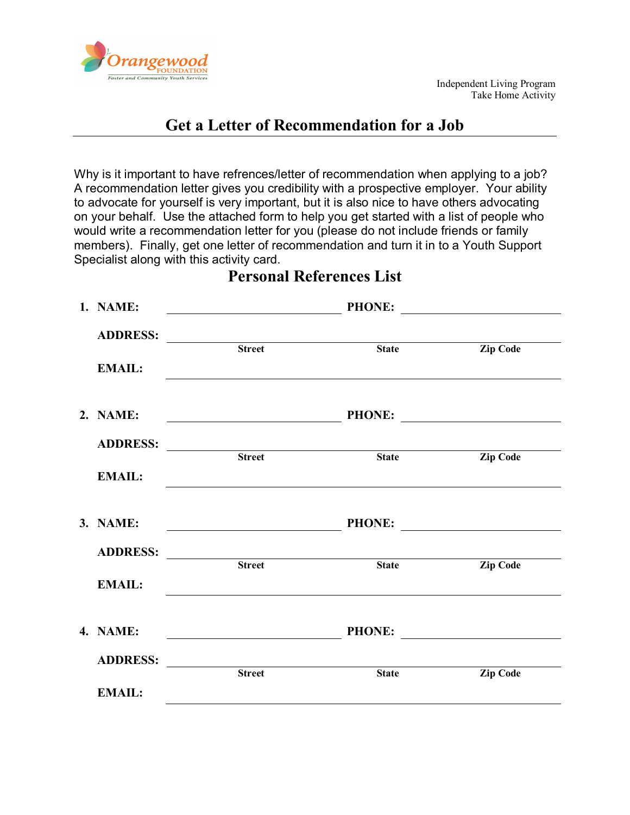

# **Get a Letter of Recommendation for a Job**

Why is it important to have refrences/letter of recommendation when applying to a job? A recommendation letter gives you credibility with a prospective employer. Your ability to advocate for yourself is very important, but it is also nice to have others advocating on your behalf. Use the attached form to help you get started with a list of people who would write a recommendation letter for you (please do not include friends or family members). Finally, get one letter of recommendation and turn it in to a Youth Support Specialist along with this activity card.

|  | 1. NAME:        |                       | <b>PHONE:</b> |                 |
|--|-----------------|-----------------------|---------------|-----------------|
|  | <b>ADDRESS:</b> | <b>Street</b>         | <b>State</b>  | <b>Zip Code</b> |
|  | <b>EMAIL:</b>   |                       |               |                 |
|  | 2. NAME:        |                       |               | PHONE:          |
|  | <b>ADDRESS:</b> | <b>Extreed</b> Street | <b>State</b>  | <b>Zip Code</b> |
|  | <b>EMAIL:</b>   |                       |               |                 |
|  | 3. NAME:        |                       | <b>PHONE:</b> |                 |
|  | <b>ADDRESS:</b> | <b>Street</b>         | <b>State</b>  | <b>Zip Code</b> |
|  | <b>EMAIL:</b>   |                       |               |                 |
|  | 4. NAME:        |                       |               | PHONE:          |
|  | <b>ADDRESS:</b> | <b>Street</b>         | <b>State</b>  | <b>Zip Code</b> |
|  | <b>EMAIL:</b>   |                       |               |                 |

# **Personal References List**